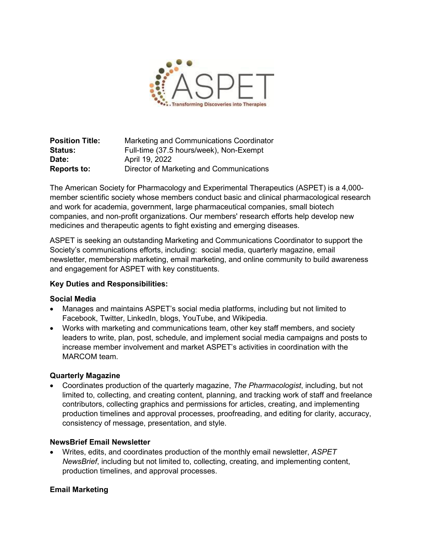

**Position Title:** Marketing and Communications Coordinator **Status:** Full-time (37.5 hours/week), Non-Exempt **Date:** April 19, 2022 **Reports to:** Director of Marketing and Communications

The American Society for Pharmacology and Experimental Therapeutics (ASPET) is a 4,000 member scientific society whose members conduct basic and clinical pharmacological research and work for academia, government, large pharmaceutical companies, small biotech companies, and non-profit organizations. Our members' research efforts help develop new medicines and therapeutic agents to fight existing and emerging diseases.

ASPET is seeking an outstanding Marketing and Communications Coordinator to support the Society's communications efforts, including: social media, quarterly magazine, email newsletter, membership marketing, email marketing, and online community to build awareness and engagement for ASPET with key constituents.

## **Key Duties and Responsibilities:**

### **Social Media**

- Manages and maintains ASPET's social media platforms, including but not limited to Facebook, Twitter, LinkedIn, blogs, YouTube, and Wikipedia.
- Works with marketing and communications team, other key staff members, and society leaders to write, plan, post, schedule, and implement social media campaigns and posts to increase member involvement and market ASPET's activities in coordination with the MARCOM team.

### **Quarterly Magazine**

• Coordinates production of the quarterly magazine, *The Pharmacologist*, including, but not limited to, collecting, and creating content, planning, and tracking work of staff and freelance contributors, collecting graphics and permissions for articles, creating, and implementing production timelines and approval processes, proofreading, and editing for clarity, accuracy, consistency of message, presentation, and style.

### **NewsBrief Email Newsletter**

• Writes, edits, and coordinates production of the monthly email newsletter, *ASPET NewsBrief*, including but not limited to, collecting, creating, and implementing content, production timelines, and approval processes.

## **Email Marketing**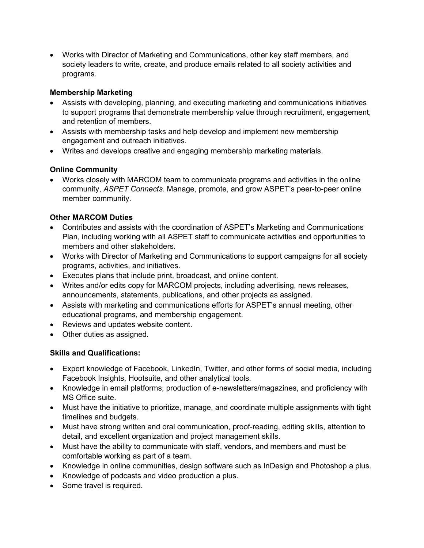• Works with Director of Marketing and Communications, other key staff members, and society leaders to write, create, and produce emails related to all society activities and programs.

# **Membership Marketing**

- Assists with developing, planning, and executing marketing and communications initiatives to support programs that demonstrate membership value through recruitment, engagement, and retention of members.
- Assists with membership tasks and help develop and implement new membership engagement and outreach initiatives.
- Writes and develops creative and engaging membership marketing materials.

# **Online Community**

• Works closely with MARCOM team to communicate programs and activities in the online community, *ASPET Connects*. Manage, promote, and grow ASPET's peer-to-peer online member community.

# **Other MARCOM Duties**

- Contributes and assists with the coordination of ASPET's Marketing and Communications Plan, including working with all ASPET staff to communicate activities and opportunities to members and other stakeholders.
- Works with Director of Marketing and Communications to support campaigns for all society programs, activities, and initiatives.
- Executes plans that include print, broadcast, and online content.
- Writes and/or edits copy for MARCOM projects, including advertising, news releases, announcements, statements, publications, and other projects as assigned.
- Assists with marketing and communications efforts for ASPET's annual meeting, other educational programs, and membership engagement.
- Reviews and updates website content.
- Other duties as assigned.

# **Skills and Qualifications:**

- Expert knowledge of Facebook, LinkedIn, Twitter, and other forms of social media, including Facebook Insights, Hootsuite, and other analytical tools.
- Knowledge in email platforms, production of e-newsletters/magazines, and proficiency with MS Office suite.
- Must have the initiative to prioritize, manage, and coordinate multiple assignments with tight timelines and budgets.
- Must have strong written and oral communication, proof-reading, editing skills, attention to detail, and excellent organization and project management skills.
- Must have the ability to communicate with staff, vendors, and members and must be comfortable working as part of a team.
- Knowledge in online communities, design software such as InDesign and Photoshop a plus.
- Knowledge of podcasts and video production a plus.
- Some travel is required.